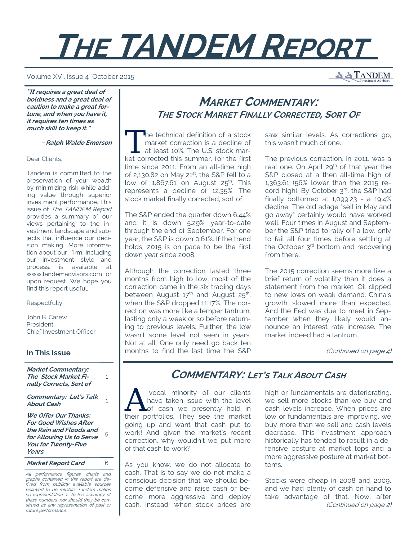# **THE TANDEM REPORT**

#### Volume XVI, Issue 4 October 2015

**A A TANDEM** 

**"It requires a great deal of boldness and a great deal of caution to make a great fortune, and when you have it, it requires ten times as much skill to keep it."** 

 **~ Ralph Waldo Emerson**

Dear Clients,

Tandem is committed to the preservation of your wealth by minimizing risk while adding value through superior investment performance. This issue of The TANDEM Report provides a summary of our views pertaining to the investment landscape and subjects that influence our decision making. More information about our firm, including our investment style and process, is available at www.tandemadvisors.com or upon request. We hope you find this report useful.

Respectfully,

John B. Carew President, Chief Investment Officer

### **In This Issue**

**Market Commentary: The Stock Market Finally Corrects, Sort of**

1

**Commentary: Let's Talk About Cash** 1

**We Offer Our Thanks: For Good Wishes After the Rain and Floods and for Allowing Us to Serve You for Twenty-Five Years**  5

**Market Report Card** 6

All performance figures, charts and graphs contained in this report are derived from publicly available sources believed to be reliable. Tandem makes no representation as to the accuracy of these numbers, nor should they be construed as any representation of past or future performance.

# **MARKET COMMENTARY: THE STOCK MARKET FINALLY CORRECTED, SORT O<sup>F</sup>**

The technical definition of a stock<br>market correction is a decline of<br>at least 10%. The U.S. stock market corrected this summar for the first market correction is a decline of at least 10%. The U.S. stock market corrected this summer, for the first time since 2011. From an all-time high of 2,130.82 on May 21st, the S&P fell to a low of  $1,867.61$  on August  $25<sup>th</sup>$ . This represents a decline of 12.35%. The stock market finally corrected, sort of.

The S&P ended the quarter down 6.44% and it is down 5.29% year-to-date through the end of September. For one year, the S&P is down 0.61%. If the trend holds, 2015 is on pace to be the first down year since 2008.

Although the correction lasted three months from high to low, most of the correction came in the six trading days between August  $17<sup>th</sup>$  and August  $25<sup>th</sup>$ , when the S&P dropped 11.17%. The correction was more like a temper tantrum, lasting only a week or so before returning to previous levels. Further, the low wasn't some level not seen in years. Not at all. One only need go back ten months to find the last time the S&P

saw similar levels. As corrections go, this wasn't much of one.

The previous correction, in 2011, was a real one. On April  $29<sup>th</sup>$  of that year the S&P closed at a then all-time high of 1,363.61 (56% lower than the 2015 record high). By October 3rd, the S&P had finally bottomed at 1,099.23 - a 19.4% decline. The old adage "sell in May and go away" certainly would have worked well. Four times in August and September the S&P tried to rally off a low, only to fail all four times before settling at the October 3<sup>rd</sup> bottom and recovering from there.

The 2015 correction seems more like a brief return of volatility than it does a statement from the market. Oil dipped to new lows on weak demand. China's growth slowed more than expected. And the Fed was due to meet in September when they likely would announce an interest rate increase. The market indeed had a tantrum.

(Continued on page 4)

# **COMMENTARY: LET'S TALK ABOUT CASH**

vocal minority of our clients<br>have taken issue with the level<br>their portfolies They see the market have taken issue with the level their portfolios. They see the market going up and want that cash put to work! And given the market's recent correction, why wouldn't we put more of that cash to work?

As you know, we do not allocate to cash. That is to say we do not make a conscious decision that we should become defensive and raise cash or become more aggressive and deploy cash. Instead, when stock prices are

high or fundamentals are deteriorating, we sell more stocks than we buy and cash levels increase. When prices are low or fundamentals are improving, we buy more than we sell and cash levels decrease. This investment approach historically has tended to result in a defensive posture at market tops and a more aggressive posture at market bottoms.

Stocks were cheap in 2008 and 2009, and we had plenty of cash on hand to take advantage of that. Now, after (Continued on page 2)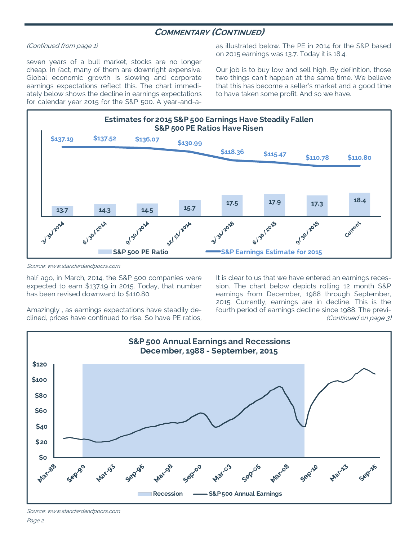# **COMMENTARY (CONTINUED)**

#### (Continued from page 1)

seven years of a bull market, stocks are no longer cheap. In fact, many of them are downright expensive. Global economic growth is slowing and corporate earnings expectations reflect this. The chart immediately below shows the decline in earnings expectations for calendar year 2015 for the S&P 500. A year-and-aas illustrated below. The PE in 2014 for the S&P based on 2015 earnings was 13.7. Today it is 18.4.

Our job is to buy low and sell high. By definition, those two things can't happen at the same time. We believe that this has become a seller's market and a good time to have taken some profit. And so we have.



Source: www.standardandpoors.com

half ago, in March, 2014, the S&P 500 companies were expected to earn \$137.19 in 2015. Today, that number has been revised downward to \$110.80.

Amazingly , as earnings expectations have steadily declined, prices have continued to rise. So have PE ratios, It is clear to us that we have entered an earnings recession. The chart below depicts rolling 12 month S&P earnings from December, 1988 through September, 2015. Currently, earnings are in decline. This is the fourth period of earnings decline since 1988. The previ- (Continued on page 3)



Source: www.standardandpoors.com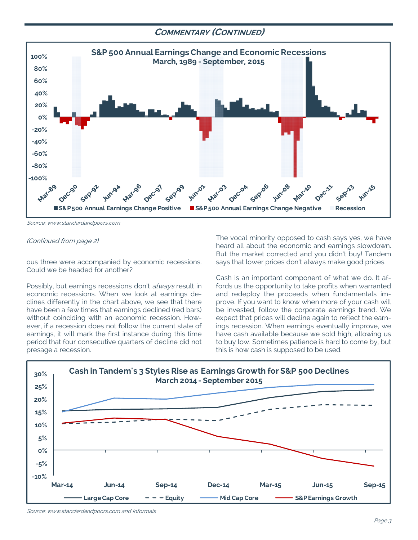## **COMMENTARY (CONTINUED)**



Source: www.standardandpoors.com

#### (Continued from page 2)

ous three were accompanied by economic recessions. Could we be headed for another?

Possibly, but earnings recessions don't *always* result in economic recessions. When we look at earnings declines differently in the chart above, we see that there have been a few times that earnings declined (red bars) without coinciding with an economic recession. However, if a recession does not follow the current state of earnings, it will mark the first instance during this time period that four consecutive quarters of decline did not presage a recession.

The vocal minority opposed to cash says yes, we have heard all about the economic and earnings slowdown. But the market corrected and you didn't buy! Tandem says that lower prices don't always make good prices.

Cash is an important component of what we do. It affords us the opportunity to take profits when warranted and redeploy the proceeds when fundamentals improve. If you want to know when more of your cash will be invested, follow the corporate earnings trend. We expect that prices will decline again to reflect the earnings recession. When earnings eventually improve, we have cash available because we sold high, allowing us to buy low. Sometimes patience is hard to come by, but this is how cash is supposed to be used.



Source: www.standardandpoors.com and Informais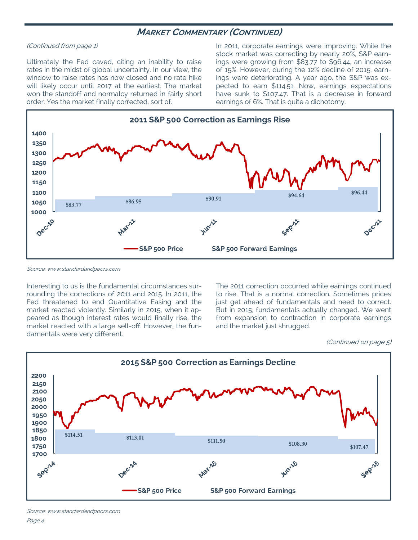## **MARKET COMMENTARY (CONTINUED)**

#### (Continued from page 1)

Ultimately the Fed caved, citing an inability to raise rates in the midst of global uncertainty. In our view, the window to raise rates has now closed and no rate hike will likely occur until 2017 at the earliest. The market won the standoff and normalcy returned in fairly short order. Yes the market finally corrected, sort of.

In 2011, corporate earnings were improving. While the stock market was correcting by nearly 20%, S&P earnings were growing from \$83.77 to \$96.44, an increase of 15%. However, during the 12% decline of 2015, earnings were deteriorating. A year ago, the S&P was expected to earn \$114.51. Now, earnings expectations have sunk to \$107.47. That is a decrease in forward earnings of 6%. That is quite a dichotomy.



Source: www.standardandpoors.com

Interesting to us is the fundamental circumstances surrounding the corrections of 2011 and 2015. In 2011, the Fed threatened to end Quantitative Easing and the market reacted violently. Similarly in 2015, when it appeared as though interest rates would finally rise, the market reacted with a large sell-off. However, the fundamentals were very different.

The 2011 correction occurred while earnings continued to rise. That is a normal correction. Sometimes prices just get ahead of fundamentals and need to correct. But in 2015, fundamentals actually changed. We went from expansion to contraction in corporate earnings and the market just shrugged.

<sup>(</sup>Continued on page 5)



Source: www.standardandpoors.com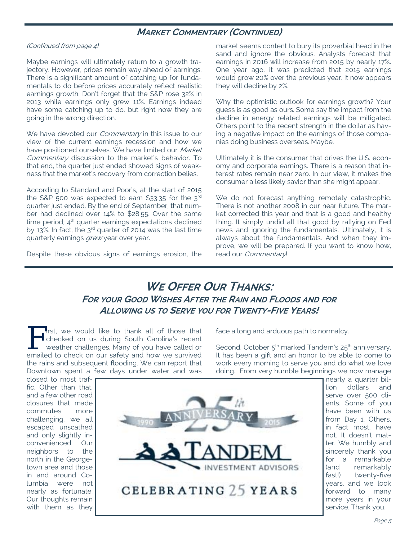# **MARKET COMMENTARY (CONTINUED)**

(Continued from page 4)

Maybe earnings will ultimately return to a growth trajectory. However, prices remain way ahead of earnings. There is a significant amount of catching up for fundamentals to do before prices accurately reflect realistic earnings growth. Don't forget that the S&P rose 32% in 2013 while earnings only grew 11%. Earnings indeed have some catching up to do, but right now they are going in the wrong direction.

We have devoted our *Commentary* in this issue to our view of the current earnings recession and how we have positioned ourselves. We have limited our Market Commentary discussion to the market's behavior. To that end, the quarter just ended showed signs of weakness that the market's recovery from correction belies.

According to Standard and Poor's, at the start of 2015 the S&P 500 was expected to earn \$33.35 for the  $3<sup>rd</sup>$ quarter just ended. By the end of September, that number had declined over 14% to \$28.55. Over the same time period,  $4<sup>th</sup>$  quarter earnings expectations declined by 13%. In fact, the  $3^{rd}$  quarter of 2014 was the last time quarterly earnings *grew* year over year.

Despite these obvious signs of earnings erosion, the

market seems content to bury its proverbial head in the sand and ignore the obvious. Analysts forecast that earnings in 2016 will increase from 2015 by nearly 17%. One year ago, it was predicted that 2015 earnings would grow 20% over the previous year. It now appears they will decline by 2%.

Why the optimistic outlook for earnings growth? Your guess is as good as ours. Some say the impact from the decline in energy related earnings will be mitigated. Others point to the recent strength in the dollar as having a negative impact on the earnings of those companies doing business overseas. Maybe.

Ultimately it is the consumer that drives the U.S. economy and corporate earnings. There is a reason that interest rates remain near zero. In our view, it makes the consumer a less likely savior than she might appear.

We do not forecast anything remotely catastrophic. There is not another 2008 in our near future. The market corrected this year and that is a good and healthy thing. It simply undid all that good by rallying on Fed news and ignoring the fundamentals. Ultimately, it is always about the fundamentals. And when they improve, we will be prepared. If you want to know how, read our Commentary!

# **WE OFFER OUR THANKS: FOR YOUR GOOD WISHES AFTER THE RAIN AND FLOODS AND FOR ALLOWING US TO SERVE YOU FOR TWENTY-FIVE YEARS!**

F irst, we would like to thank all of those that<br>checked on us during South Carolina's recent<br>weather challenges. Many of you have called or<br>amplied to check on our cafety and how we survived checked on us during South Carolina's recent weather challenges. Many of you have called or emailed to check on our safety and how we survived the rains and subsequent flooding. We can report that Downtown spent a few days under water and was

face a long and arduous path to normalcy.

Second, October 5<sup>th</sup> marked Tandem's 25<sup>th</sup> anniversary. It has been a gift and an honor to be able to come to work every morning to serve you and do what we love doing. From very humble beginnings we now manage

closed to most traffic. Other than that, and a few other road closures that made commutes more challenging, we all escaped unscathed and only slightly inconvenienced. Our neighbors to the north in the Georgetown area and those in and around Columbia were not nearly as fortunate. Our thoughts remain with them as they



nearly a quarter billion dollars and serve over 500 clients. Some of you have been with us from Day 1. Others, in fact most, have not. It doesn't matter. We humbly and sincerely thank you for a remarkable (and remarkably fast!) twenty-five years, and we look forward to many more years in your service. Thank you.